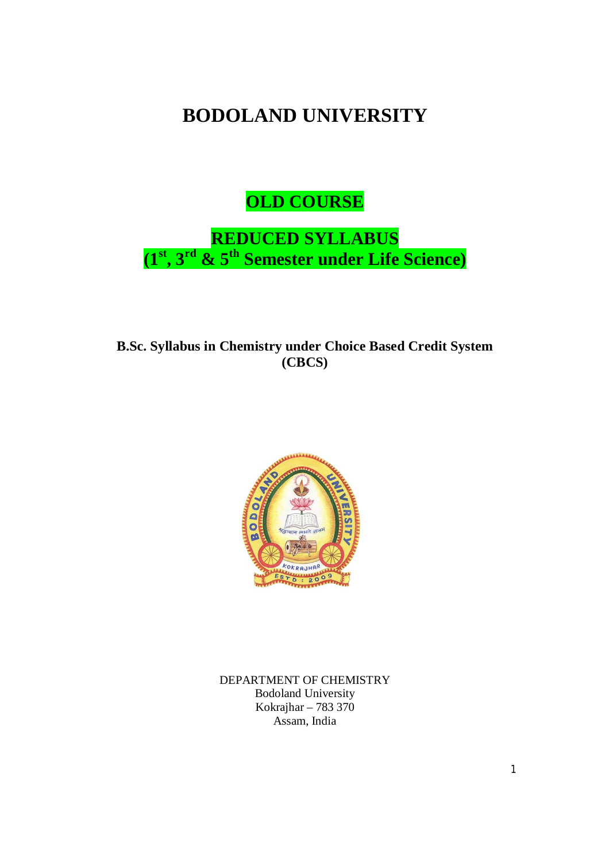# **BODOLAND UNIVERSITY**

**OLD COURSE**

**REDUCED SYLLABUS (1 st , 3 rd & 5th Semester under Life Science)**

**B.Sc. Syllabus in Chemistry under Choice Based Credit System (CBCS)** 



DEPARTMENT OF CHEMISTRY Bodoland University Kokrajhar – 783 370 Assam, India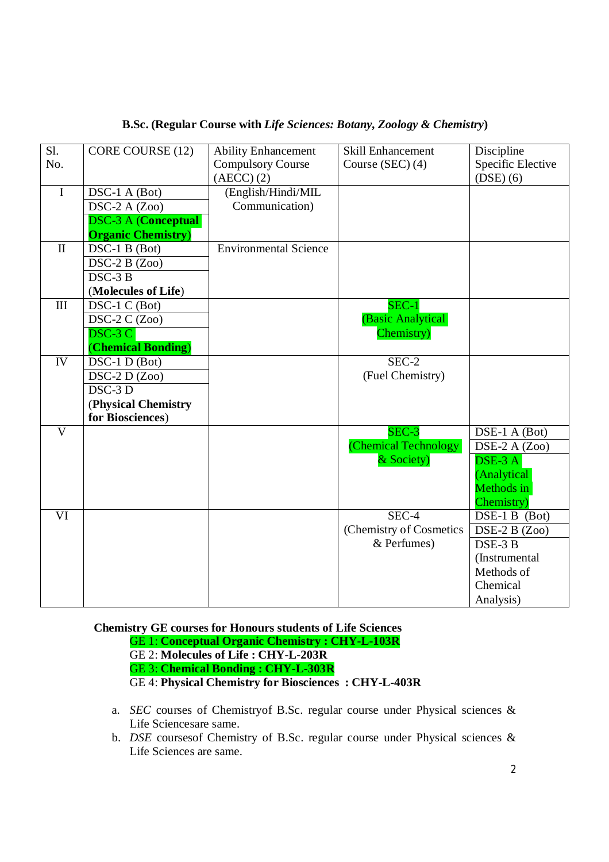| S1.                     | CORE COURSE (12)                  | <b>Ability Enhancement</b>   | <b>Skill Enhancement</b> | Discipline                  |
|-------------------------|-----------------------------------|------------------------------|--------------------------|-----------------------------|
| No.                     |                                   | <b>Compulsory Course</b>     | Course (SEC) (4)         | Specific Elective           |
|                         |                                   | $(AECC)$ $(2)$               |                          | $(DSE)$ $(6)$               |
| $\overline{I}$          | DSC-1 A (Bot)                     | (English/Hindi/MIL           |                          |                             |
|                         | DSC-2 A $(Zoo)$                   | Communication)               |                          |                             |
|                         | <b>DSC-3 A (Conceptual</b>        |                              |                          |                             |
|                         | <b>Organic Chemistry</b> )        |                              |                          |                             |
| $\mathbf{I}$            | $\overline{\text{DSC-1 B}}$ (Bot) | <b>Environmental Science</b> |                          |                             |
|                         | $DSC-2B(Zoo)$                     |                              |                          |                             |
|                         | $DSC-3B$                          |                              |                          |                             |
|                         | (Molecules of Life)               |                              |                          |                             |
| $\mathop{\rm III}$      | DSC-1 C (Bot)                     |                              | $SEC-1$                  |                             |
|                         | DSC-2 C (Zoo)                     |                              | (Basic Analytical        |                             |
|                         | $DSC-3C$                          |                              | Chemistry)               |                             |
|                         | (Chemical Bonding)                |                              |                          |                             |
| IV                      | DSC-1 D (Bot)                     |                              | SEC-2                    |                             |
|                         | $DSC-2 D(Zoo)$                    |                              | (Fuel Chemistry)         |                             |
|                         | $DSC-3D$                          |                              |                          |                             |
|                         | (Physical Chemistry               |                              |                          |                             |
|                         | for Biosciences)                  |                              |                          |                             |
| $\overline{\mathbf{V}}$ |                                   |                              | SEC-3                    | DSE-1 A (Bot)               |
|                         |                                   |                              | (Chemical Technology)    | DSE-2 A $(Zoo)$             |
|                         |                                   |                              | & Society)               | $\overline{\text{DSE-3 A}}$ |
|                         |                                   |                              |                          | (Analytical                 |
|                         |                                   |                              |                          | Methods in                  |
|                         |                                   |                              |                          | Chemistry)                  |
| VI                      |                                   |                              | SEC-4                    | DSE-1 B (Bot)               |
|                         |                                   |                              | (Chemistry of Cosmetics  | DSE-2 B $(Zoo)$             |
|                         |                                   |                              | & Perfumes)              | DSE-3 B                     |
|                         |                                   |                              |                          | (Instrumental               |
|                         |                                   |                              |                          | Methods of                  |
|                         |                                   |                              |                          | Chemical                    |
|                         |                                   |                              |                          | Analysis)                   |

# **B.Sc. (Regular Course with** *Life Sciences: Botany, Zoology & Chemistry***)**

**Chemistry GE courses for Honours students of Life Sciences** GE 1: **Conceptual Organic Chemistry : CHY-L-103R** GE 2: **Molecules of Life : CHY-L-203R**  GE 3: **Chemical Bonding : CHY-L-303R** GE 4: **Physical Chemistry for Biosciences : CHY-L-403R**

- a. *SEC* courses of Chemistryof B.Sc. regular course under Physical sciences & Life Sciencesare same.
- b. *DSE* coursesof Chemistry of B.Sc. regular course under Physical sciences & Life Sciences are same.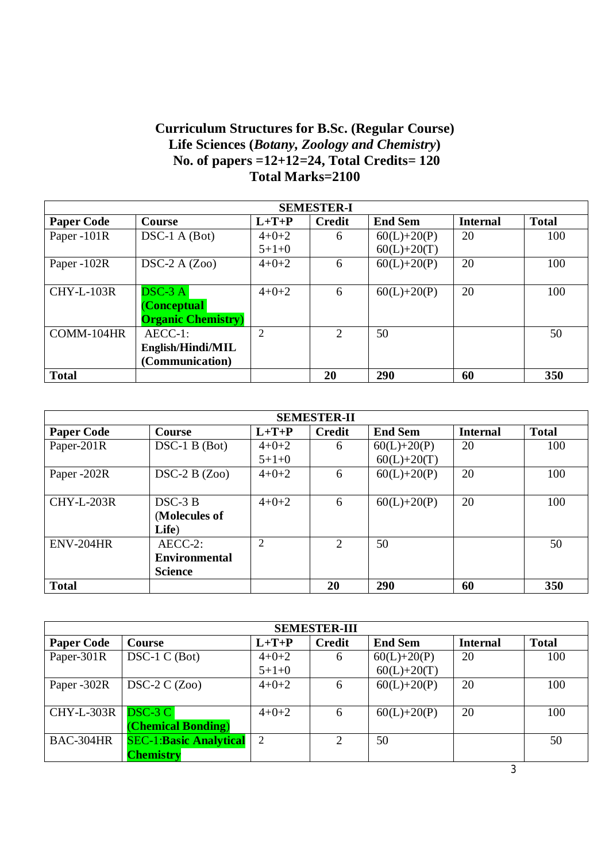# **Curriculum Structures for B.Sc. (Regular Course) Life Sciences (***Botany, Zoology and Chemistry***) No. of papers =12+12=24, Total Credits= 120 Total Marks=2100**

| <b>SEMESTER-I</b> |                            |                |               |                |                 |              |  |  |  |
|-------------------|----------------------------|----------------|---------------|----------------|-----------------|--------------|--|--|--|
| <b>Paper Code</b> | Course                     | $L+T+P$        | <b>Credit</b> | <b>End Sem</b> | <b>Internal</b> | <b>Total</b> |  |  |  |
| Paper -101R       | $DSC-1 A (Bot)$            | $4+0+2$        | 6             | $60(L)+20(P)$  | 20              | 100          |  |  |  |
|                   |                            | $5+1+0$        |               | $60(L)+20(T)$  |                 |              |  |  |  |
| Paper -102R       | $DSC-2A(Zoo)$              | $4+0+2$        | 6             | $60(L)+20(P)$  | 20              | 100          |  |  |  |
|                   |                            |                |               |                |                 |              |  |  |  |
| <b>CHY-L-103R</b> | $DSC-3 A$                  | $4 + 0 + 2$    | 6             | $60(L)+20(P)$  | 20              | 100          |  |  |  |
|                   | <b>Conceptual</b>          |                |               |                |                 |              |  |  |  |
|                   | <b>Organic Chemistry</b> ) |                |               |                |                 |              |  |  |  |
| COMM-104HR        | $AECC-1$ :                 | $\overline{2}$ | 2             | 50             |                 | 50           |  |  |  |
|                   | English/Hindi/MIL          |                |               |                |                 |              |  |  |  |
|                   | (Communication)            |                |               |                |                 |              |  |  |  |
| <b>Total</b>      |                            |                | 20            | 290            | 60              | 350          |  |  |  |

| <b>SEMESTER-II</b> |                      |                |               |                 |                 |              |  |  |
|--------------------|----------------------|----------------|---------------|-----------------|-----------------|--------------|--|--|
| <b>Paper Code</b>  | <b>Course</b>        | $L+T+P$        | <b>Credit</b> | <b>End Sem</b>  | <b>Internal</b> | <b>Total</b> |  |  |
| Paper-201R         | $DSC-1 B (Bot)$      | $4 + 0 + 2$    | 6             | $60(L)+20(P)$   | 20              | 100          |  |  |
|                    |                      | $5+1+0$        |               | $60(L) + 20(T)$ |                 |              |  |  |
| Paper -202R        | $DSC-2B(Zoo)$        | $4+0+2$        | 6             | $60(L)+20(P)$   | 20              | 100          |  |  |
|                    |                      |                |               |                 |                 |              |  |  |
| <b>CHY-L-203R</b>  | $DSC-3B$             | $4 + 0 + 2$    | 6             | $60(L)+20(P)$   | 20              | 100          |  |  |
|                    | (Molecules of        |                |               |                 |                 |              |  |  |
|                    | Life)                |                |               |                 |                 |              |  |  |
| <b>ENV-204HR</b>   | $AECC-2$ :           | $\overline{2}$ | 2             | 50              |                 | 50           |  |  |
|                    | <b>Environmental</b> |                |               |                 |                 |              |  |  |
|                    | <b>Science</b>       |                |               |                 |                 |              |  |  |
| <b>Total</b>       |                      |                | 20            | 290             | 60              | 350          |  |  |

| <b>SEMESTER-III</b> |                               |         |               |                |                 |              |  |  |
|---------------------|-------------------------------|---------|---------------|----------------|-----------------|--------------|--|--|
| <b>Paper Code</b>   | Course                        | $L+T+P$ | <b>Credit</b> | <b>End Sem</b> | <b>Internal</b> | <b>Total</b> |  |  |
| Paper-301R          | $DSC-1 C (Bot)$               | $4+0+2$ | 6             | $60(L)+20(P)$  | 20              | 100          |  |  |
|                     |                               | $5+1+0$ |               | $60(L)+20(T)$  |                 |              |  |  |
| Paper -302R         | $DSC-2C(Zoo)$                 | $4+0+2$ | 6             | $60(L)+20(P)$  | 20              | 100          |  |  |
|                     |                               |         |               |                |                 |              |  |  |
| <b>CHY-L-303R</b>   | $DSC-3C$                      | $4+0+2$ | 6             | $60(L)+20(P)$  | 20              | 100          |  |  |
|                     | <b>(Chemical Bonding)</b>     |         |               |                |                 |              |  |  |
| BAC-304HR           | <b>SEC-1:Basic Analytical</b> | 2       | 2             | 50             |                 | 50           |  |  |
|                     | <b>Chemistry</b>              |         |               |                |                 |              |  |  |

3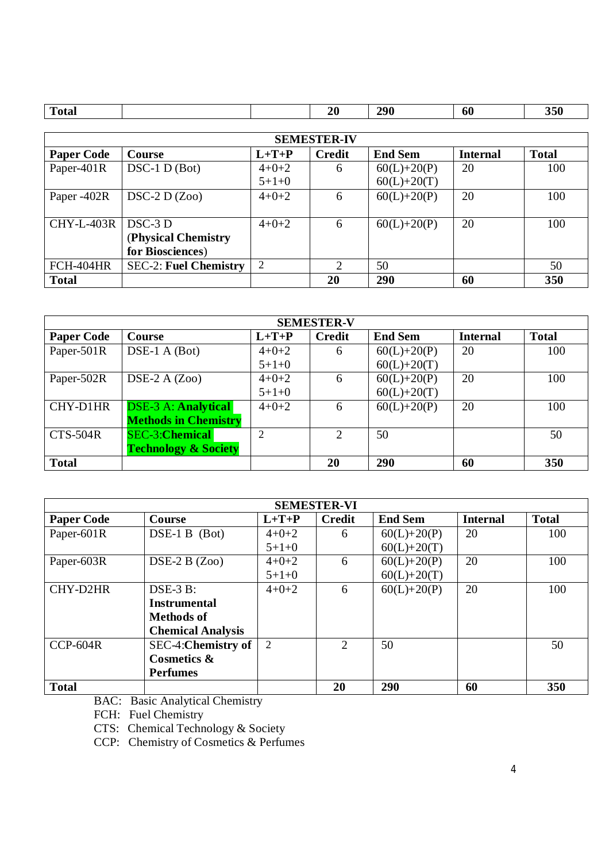| <b>Total</b> |  | 20<br>__ | 290 | 60 | 350 |
|--------------|--|----------|-----|----|-----|
|              |  |          |     |    |     |

| <b>SEMESTER-IV</b> |                              |             |                |                |                 |              |  |  |
|--------------------|------------------------------|-------------|----------------|----------------|-----------------|--------------|--|--|
| <b>Paper Code</b>  | Course                       | $L+T+P$     | <b>Credit</b>  | <b>End Sem</b> | <b>Internal</b> | <b>Total</b> |  |  |
| Paper-401R         | $DSC-1 D (Bot)$              | $4 + 0 + 2$ | 6              | $60(L)+20(P)$  | 20              | 100          |  |  |
|                    |                              | $5+1+0$     |                | $60(L)+20(T)$  |                 |              |  |  |
| Paper -402R        | $DSC-2 D(Zoo)$               | $4 + 0 + 2$ | 6              | $60(L)+20(P)$  | 20              | 100          |  |  |
|                    |                              |             |                |                |                 |              |  |  |
| <b>CHY-L-403R</b>  | $DSC-3D$                     | $4 + 0 + 2$ | 6              | $60(L)+20(P)$  | 20              | 100          |  |  |
|                    | (Physical Chemistry          |             |                |                |                 |              |  |  |
|                    | for Biosciences)             |             |                |                |                 |              |  |  |
| FCH-404HR          | <b>SEC-2: Fuel Chemistry</b> | 2           | $\overline{2}$ | 50             |                 | 50           |  |  |
| <b>Total</b>       |                              |             | 20             | 290            | 60              | 350          |  |  |

| <b>SEMESTER-V</b> |                                 |             |                |                |                 |              |  |  |
|-------------------|---------------------------------|-------------|----------------|----------------|-----------------|--------------|--|--|
| <b>Paper Code</b> | <b>Course</b>                   | $L+T+P$     | <b>Credit</b>  | <b>End Sem</b> | <b>Internal</b> | <b>Total</b> |  |  |
| Paper-501R        | $DSE-1 A (Bot)$                 | $4+0+2$     | 6              | $60(L)+20(P)$  | 20              | 100          |  |  |
|                   |                                 | $5+1+0$     |                | $60(L)+20(T)$  |                 |              |  |  |
| Paper-502R        | DSE-2 A $(Zoo)$                 | $4 + 0 + 2$ | 6              | $60(L)+20(P)$  | 20              | 100          |  |  |
|                   |                                 | $5+1+0$     |                | $60(L)+20(T)$  |                 |              |  |  |
| CHY-D1HR          | <b>DSE-3 A: Analytical</b>      | $4+0+2$     | 6              | $60(L)+20(P)$  | 20              | 100          |  |  |
|                   | <b>Methods in Chemistry</b>     |             |                |                |                 |              |  |  |
| <b>CTS-504R</b>   | <b>SEC-3:Chemical</b>           | 2           | $\overline{2}$ | 50             |                 | 50           |  |  |
|                   | <b>Technology &amp; Society</b> |             |                |                |                 |              |  |  |
| <b>Total</b>      |                                 |             | 20             | 290            | 60              | 350          |  |  |

| <b>SEMESTER-VI</b> |                           |         |                             |                 |                 |              |  |  |
|--------------------|---------------------------|---------|-----------------------------|-----------------|-----------------|--------------|--|--|
| <b>Paper Code</b>  | Course                    | $L+T+P$ | <b>Credit</b>               | <b>End Sem</b>  | <b>Internal</b> | <b>Total</b> |  |  |
| Paper-601R         | $DSE-1B$ (Bot)            | $4+0+2$ | 6                           | $60(L)+20(P)$   | 20              | 100          |  |  |
|                    |                           | $5+1+0$ |                             | $60(L) + 20(T)$ |                 |              |  |  |
| Paper-603R         | $DSE-2B(Zoo)$             | $4+0+2$ | 6                           | $60(L)+20(P)$   | 20              | 100          |  |  |
|                    |                           | $5+1+0$ |                             | $60(L) + 20(T)$ |                 |              |  |  |
| CHY-D2HR           | $DSE-3B$ :                | $4+0+2$ | 6                           | $60(L)+20(P)$   | 20              | 100          |  |  |
|                    | <b>Instrumental</b>       |         |                             |                 |                 |              |  |  |
|                    | Methods of                |         |                             |                 |                 |              |  |  |
|                    | <b>Chemical Analysis</b>  |         |                             |                 |                 |              |  |  |
| $CCP-604R$         | <b>SEC-4:Chemistry of</b> | 2       | $\mathcal{D}_{\mathcal{L}}$ | 50              |                 | 50           |  |  |
|                    | <b>Cosmetics &amp;</b>    |         |                             |                 |                 |              |  |  |
|                    | <b>Perfumes</b>           |         |                             |                 |                 |              |  |  |
| <b>Total</b>       |                           |         | 20                          | 290             | 60              | 350          |  |  |

BAC: Basic Analytical Chemistry

FCH: Fuel Chemistry

CTS: Chemical Technology & Society

CCP: Chemistry of Cosmetics & Perfumes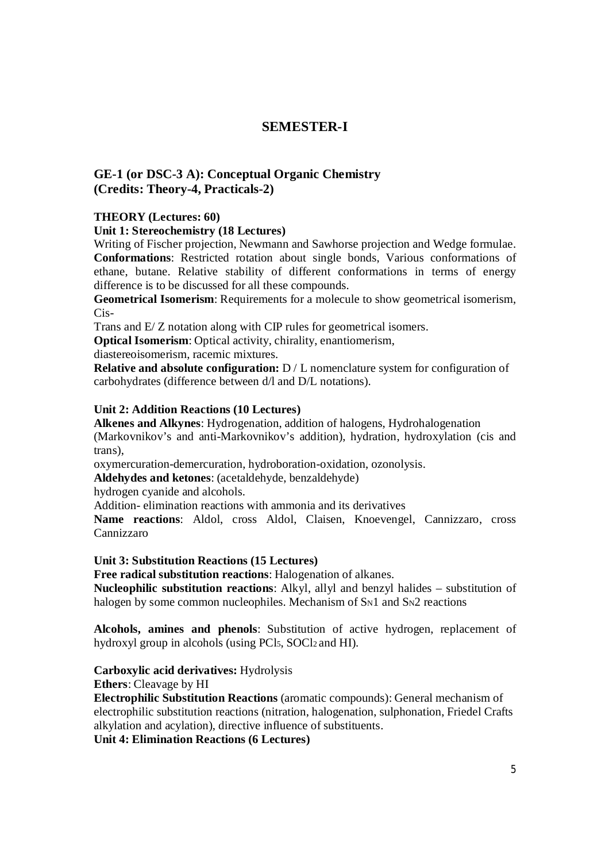# **SEMESTER-I**

# **GE-1 (or DSC-3 A): Conceptual Organic Chemistry (Credits: Theory-4, Practicals-2)**

# **THEORY (Lectures: 60)**

# **Unit 1: Stereochemistry (18 Lectures)**

Writing of Fischer projection, Newmann and Sawhorse projection and Wedge formulae. **Conformations**: Restricted rotation about single bonds, Various conformations of ethane, butane. Relative stability of different conformations in terms of energy difference is to be discussed for all these compounds.

**Geometrical Isomerism**: Requirements for a molecule to show geometrical isomerism, Cis-

Trans and E/ Z notation along with CIP rules for geometrical isomers.

**Optical Isomerism**: Optical activity, chirality, enantiomerism,

diastereoisomerism, racemic mixtures.

**Relative and absolute configuration:**  $D / L$  nomenclature system for configuration of carbohydrates (difference between d/l and D/L notations).

# **Unit 2: Addition Reactions (10 Lectures)**

**Alkenes and Alkynes**: Hydrogenation, addition of halogens, Hydrohalogenation (Markovnikov's and anti-Markovnikov's addition), hydration, hydroxylation (cis and trans),

oxymercuration-demercuration, hydroboration-oxidation, ozonolysis.

**Aldehydes and ketones**: (acetaldehyde, benzaldehyde)

hydrogen cyanide and alcohols.

Addition- elimination reactions with ammonia and its derivatives

**Name reactions**: Aldol, cross Aldol, Claisen, Knoevengel, Cannizzaro, cross Cannizzaro

# **Unit 3: Substitution Reactions (15 Lectures)**

**Free radical substitution reactions**: Halogenation of alkanes.

**Nucleophilic substitution reactions**: Alkyl, allyl and benzyl halides – substitution of halogen by some common nucleophiles. Mechanism of SN1 and SN2 reactions

**Alcohols, amines and phenols**: Substitution of active hydrogen, replacement of hydroxyl group in alcohols (using PCl<sub>5</sub>, SOCl<sub>2</sub> and HI).

# **Carboxylic acid derivatives:** Hydrolysis

**Ethers**: Cleavage by HI

**Electrophilic Substitution Reactions** (aromatic compounds): General mechanism of electrophilic substitution reactions (nitration, halogenation, sulphonation, Friedel Crafts alkylation and acylation), directive influence of substituents.

**Unit 4: Elimination Reactions (6 Lectures)**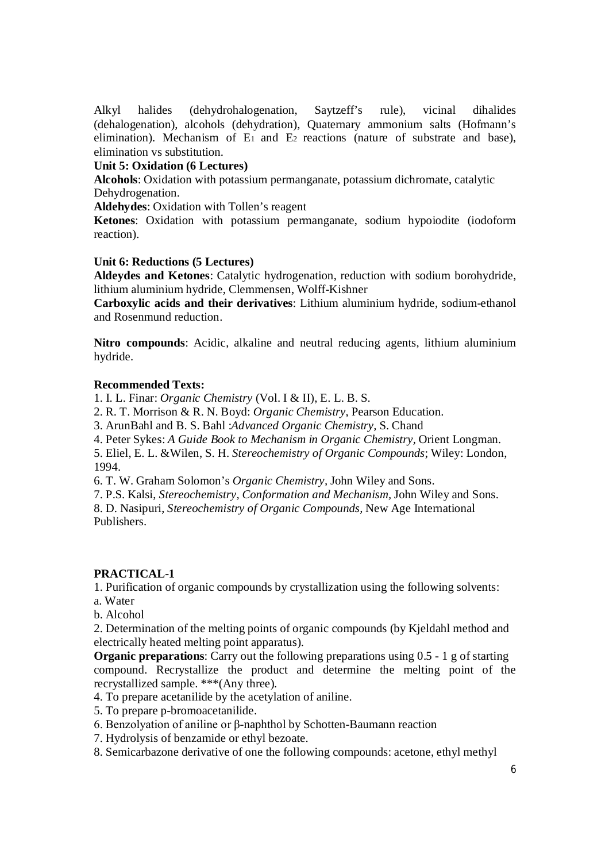Alkyl halides (dehydrohalogenation, Saytzeff's rule), vicinal dihalides (dehalogenation), alcohols (dehydration), Quaternary ammonium salts (Hofmann's elimination). Mechanism of  $E_1$  and  $E_2$  reactions (nature of substrate and base), elimination vs substitution.

# **Unit 5: Oxidation (6 Lectures)**

**Alcohols**: Oxidation with potassium permanganate, potassium dichromate, catalytic Dehydrogenation.

**Aldehydes**: Oxidation with Tollen's reagent

**Ketones**: Oxidation with potassium permanganate, sodium hypoiodite (iodoform reaction).

# **Unit 6: Reductions (5 Lectures)**

**Aldeydes and Ketones**: Catalytic hydrogenation, reduction with sodium borohydride, lithium aluminium hydride, Clemmensen, Wolff-Kishner

**Carboxylic acids and their derivatives**: Lithium aluminium hydride, sodium-ethanol and Rosenmund reduction.

**Nitro compounds**: Acidic, alkaline and neutral reducing agents, lithium aluminium hydride.

# **Recommended Texts:**

1. I. L. Finar: *Organic Chemistry* (Vol. I & II), E. L. B. S.

2. R. T. Morrison & R. N. Boyd: *Organic Chemistry*, Pearson Education.

3. ArunBahl and B. S. Bahl :*Advanced Organic Chemistry,* S. Chand

4. Peter Sykes: *A Guide Book to Mechanism in Organic Chemistry,* Orient Longman.

5. Eliel, E. L. &Wilen, S. H. *Stereochemistry of Organic Compounds*; Wiley: London, 1994.

6. T. W. Graham Solomon's *Organic Chemistry,* John Wiley and Sons.

7. P.S. Kalsi, *Stereochemistry, Conformation and Mechanism,* John Wiley and Sons.

8. D. Nasipuri, *Stereochemistry of Organic Compounds,* New Age International Publishers.

# **PRACTICAL-1**

1. Purification of organic compounds by crystallization using the following solvents:

- a. Water
- b. Alcohol

2. Determination of the melting points of organic compounds (by Kjeldahl method and electrically heated melting point apparatus).

**Organic preparations**: Carry out the following preparations using 0.5 - 1 g of starting compound. Recrystallize the product and determine the melting point of the recrystallized sample. \*\*\*(Any three).

4. To prepare acetanilide by the acetylation of aniline.

5. To prepare p-bromoacetanilide.

- 6. Benzolyation of aniline or β-naphthol by Schotten-Baumann reaction
- 7. Hydrolysis of benzamide or ethyl bezoate.
- 8. Semicarbazone derivative of one the following compounds: acetone, ethyl methyl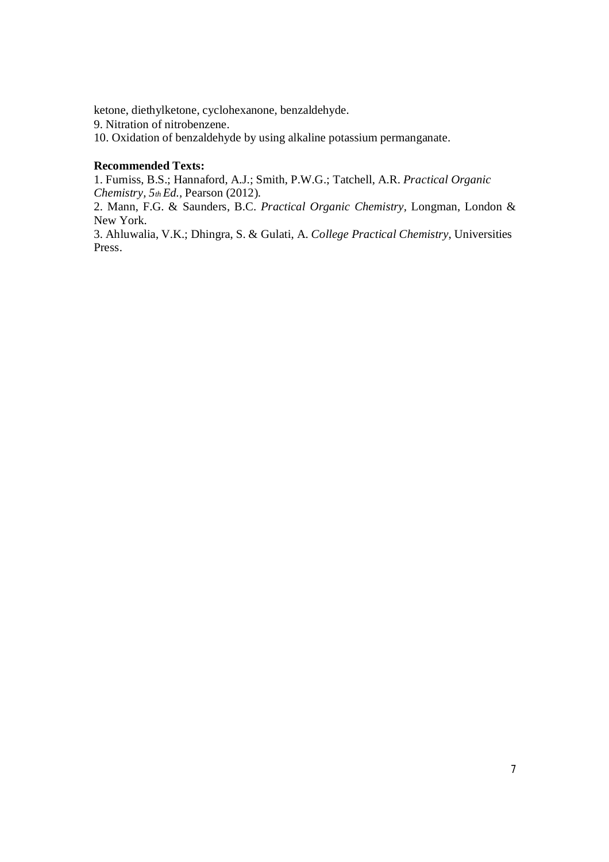ketone, diethylketone, cyclohexanone, benzaldehyde.

9. Nitration of nitrobenzene.

10. Oxidation of benzaldehyde by using alkaline potassium permanganate.

# **Recommended Texts:**

1. Furniss, B.S.; Hannaford, A.J.; Smith, P.W.G.; Tatchell, A.R. *Practical Organic Chemistry, 5th Ed.,* Pearson (2012).

2. Mann, F.G. & Saunders, B.C. *Practical Organic Chemistry,* Longman, London & New York.

3. Ahluwalia, V.K.; Dhingra, S. & Gulati, A. *College Practical Chemistry*, Universities Press.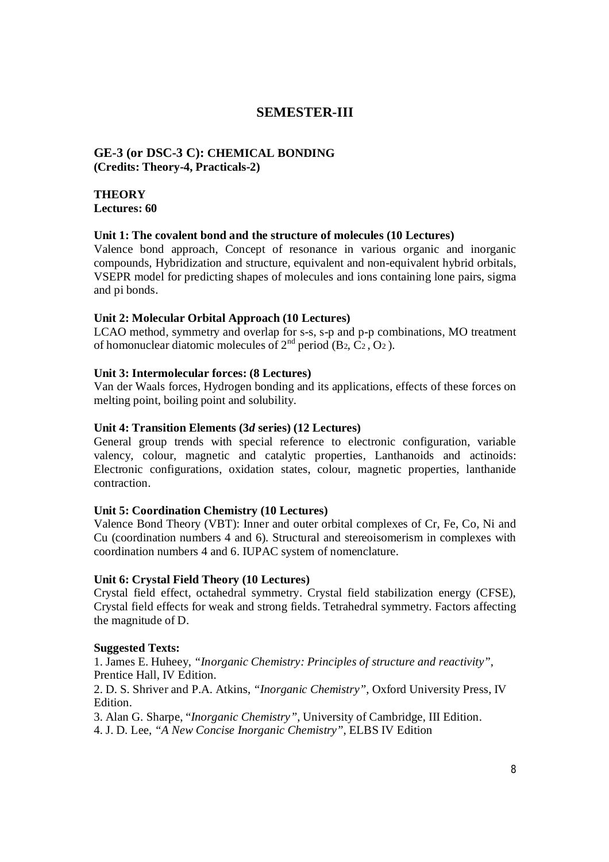# **SEMESTER-III**

# **GE-3 (or DSC-3 C): CHEMICAL BONDING (Credits: Theory-4, Practicals-2)**

# **THEORY Lectures: 60**

# **Unit 1: The covalent bond and the structure of molecules (10 Lectures)**

Valence bond approach, Concept of resonance in various organic and inorganic compounds, Hybridization and structure, equivalent and non-equivalent hybrid orbitals, VSEPR model for predicting shapes of molecules and ions containing lone pairs, sigma and pi bonds.

# **Unit 2: Molecular Orbital Approach (10 Lectures)**

LCAO method, symmetry and overlap for s-s, s-p and p-p combinations, MO treatment of homonuclear diatomic molecules of  $2<sup>nd</sup>$  period (B<sub>2</sub>, C<sub>2</sub>, O<sub>2</sub>).

# **Unit 3: Intermolecular forces: (8 Lectures)**

Van der Waals forces, Hydrogen bonding and its applications, effects of these forces on melting point, boiling point and solubility.

# **Unit 4: Transition Elements (3***d* **series) (12 Lectures)**

General group trends with special reference to electronic configuration, variable valency, colour, magnetic and catalytic properties, Lanthanoids and actinoids: Electronic configurations, oxidation states, colour, magnetic properties, lanthanide contraction.

# **Unit 5: Coordination Chemistry (10 Lectures)**

Valence Bond Theory (VBT): Inner and outer orbital complexes of Cr, Fe, Co, Ni and Cu (coordination numbers 4 and 6). Structural and stereoisomerism in complexes with coordination numbers 4 and 6. IUPAC system of nomenclature.

# **Unit 6: Crystal Field Theory (10 Lectures)**

Crystal field effect, octahedral symmetry. Crystal field stabilization energy (CFSE), Crystal field effects for weak and strong fields. Tetrahedral symmetry. Factors affecting the magnitude of D.

# **Suggested Texts:**

1. James E. Huheey, *"Inorganic Chemistry: Principles of structure and reactivity"*, Prentice Hall, IV Edition. 2. D. S. Shriver and P.A. Atkins, *"Inorganic Chemistry"*, Oxford University Press, IV Edition. 3. Alan G. Sharpe, "*Inorganic Chemistry"*, University of Cambridge, III Edition.

4. J. D. Lee, *"A New Concise Inorganic Chemistry"*, ELBS IV Edition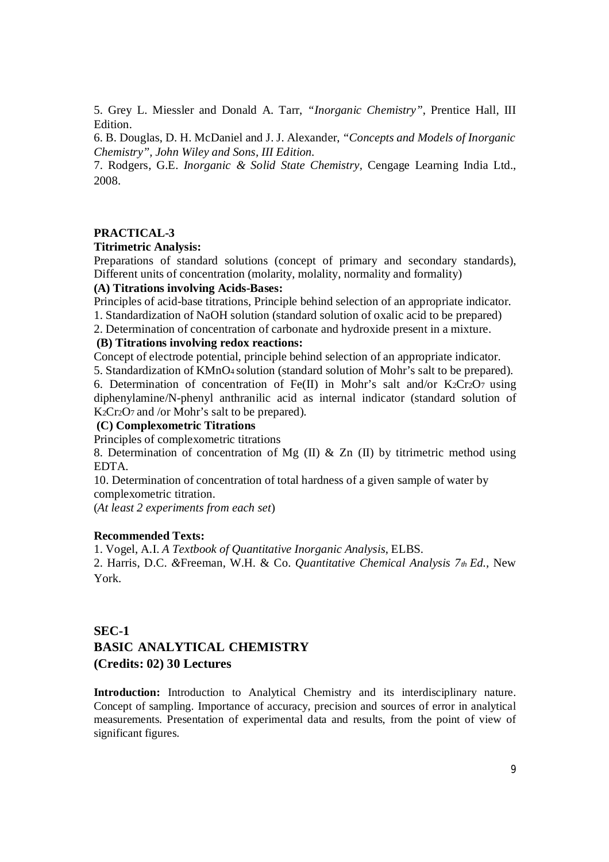5. Grey L. Miessler and Donald A. Tarr, *"Inorganic Chemistry"*, Prentice Hall, III Edition.

6. B. Douglas, D. H. McDaniel and J. J. Alexander, *"Concepts and Models of Inorganic Chemistry", John Wiley and Sons, III Edition.*

7. Rodgers, G.E. *Inorganic & Solid State Chemistry,* Cengage Learning India Ltd., 2008.

# **PRACTICAL-3**

#### **Titrimetric Analysis:**

Preparations of standard solutions (concept of primary and secondary standards), Different units of concentration (molarity, molality, normality and formality)

# **(A) Titrations involving Acids-Bases:**

Principles of acid-base titrations, Principle behind selection of an appropriate indicator. 1. Standardization of NaOH solution (standard solution of oxalic acid to be prepared)

2. Determination of concentration of carbonate and hydroxide present in a mixture.

#### **(B) Titrations involving redox reactions:**

Concept of electrode potential, principle behind selection of an appropriate indicator.

5. Standardization of KMnO4 solution (standard solution of Mohr's salt to be prepared). 6. Determination of concentration of Fe(II) in Mohr's salt and/or  $K_2Cr_2O_7$  using diphenylamine/N-phenyl anthranilic acid as internal indicator (standard solution of K<sub>2</sub>Cr<sub>2</sub>O<sub>7</sub> and /or Mohr's salt to be prepared).

#### **(C) Complexometric Titrations**

Principles of complexometric titrations

8. Determination of concentration of Mg  $(II)$  & Zn  $(II)$  by titrimetric method using EDTA.

10. Determination of concentration of total hardness of a given sample of water by complexometric titration.

(*At least 2 experiments from each set*)

# **Recommended Texts:**

1. Vogel, A.I. *A Textbook of Quantitative Inorganic Analysis*, ELBS. 2. Harris, D.C. *&*Freeman, W.H. & Co. *Quantitative Chemical Analysis 7th Ed.,* New York.

# **SEC-1 BASIC ANALYTICAL CHEMISTRY (Credits: 02) 30 Lectures**

**Introduction:** Introduction to Analytical Chemistry and its interdisciplinary nature. Concept of sampling. Importance of accuracy, precision and sources of error in analytical measurements. Presentation of experimental data and results, from the point of view of significant figures.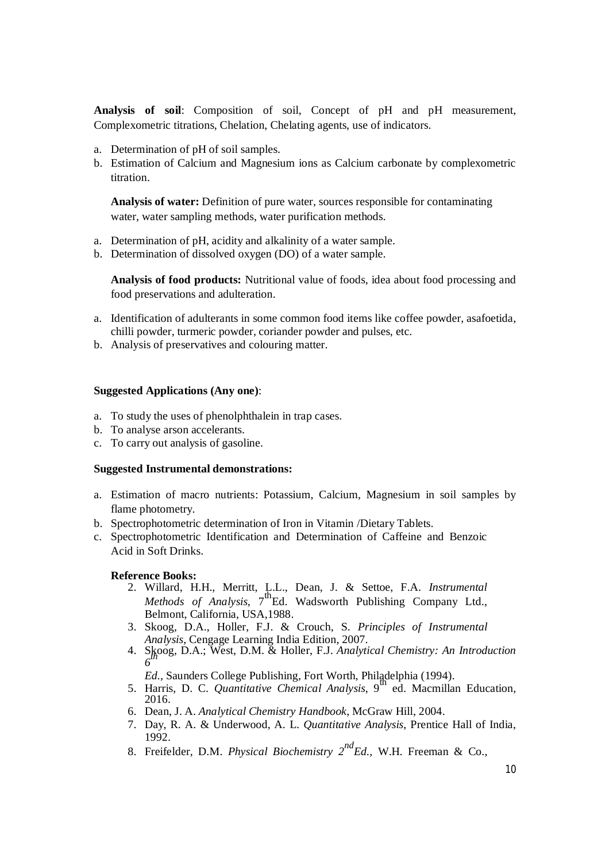**Analysis of soil**: Composition of soil, Concept of pH and pH measurement, Complexometric titrations, Chelation, Chelating agents, use of indicators.

- a. Determination of pH of soil samples.
- b. Estimation of Calcium and Magnesium ions as Calcium carbonate by complexometric titration.

**Analysis of water:** Definition of pure water, sources responsible for contaminating water, water sampling methods, water purification methods.

- a. Determination of pH, acidity and alkalinity of a water sample.
- b. Determination of dissolved oxygen (DO) of a water sample.

**Analysis of food products:** Nutritional value of foods, idea about food processing and food preservations and adulteration.

- a. Identification of adulterants in some common food items like coffee powder, asafoetida, chilli powder, turmeric powder, coriander powder and pulses, etc.
- b. Analysis of preservatives and colouring matter.

### **Suggested Applications (Any one)**:

- a. To study the uses of phenolphthalein in trap cases.
- b. To analyse arson accelerants.
- c. To carry out analysis of gasoline.

### **Suggested Instrumental demonstrations:**

- a. Estimation of macro nutrients: Potassium, Calcium, Magnesium in soil samples by flame photometry.
- b. Spectrophotometric determination of Iron in Vitamin /Dietary Tablets.
- c. Spectrophotometric Identification and Determination of Caffeine and Benzoic Acid in Soft Drinks.

# **Reference Books:**

- 2. Willard, H.H., Merritt, L.L., Dean, J. & Settoe, F.A. *Instrumental Methods of Analysis*, 7<sup>th</sup>Ed. Wadsworth Publishing Company Ltd., Belmont, California, USA,1988.
- 3. Skoog, D.A., Holler, F.J. & Crouch, S. *Principles of Instrumental Analysis*, Cengage Learning India Edition, 2007.
- 4. Skoog, D.A.; West, D.M. & Holler, F.J. *Analytical Chemistry: An Introduction th 6*

*Ed.,* Saunders College Publishing, Fort Worth, Philadelphia (1994).

- 5. Harris, D. C. *Quantitative Chemical Analysis*, 9 th ed. Macmillan Education, 2016.
- 6. Dean, J. A. *Analytical Chemistry Handbook*, McGraw Hill, 2004.
- 7. Day, R. A. & Underwood, A. L. *Quantitative Analysis*, Prentice Hall of India, 1992.
- 8. Freifelder, D.M. *Physical Biochemistry 2ndEd.,* W.H. Freeman & Co.,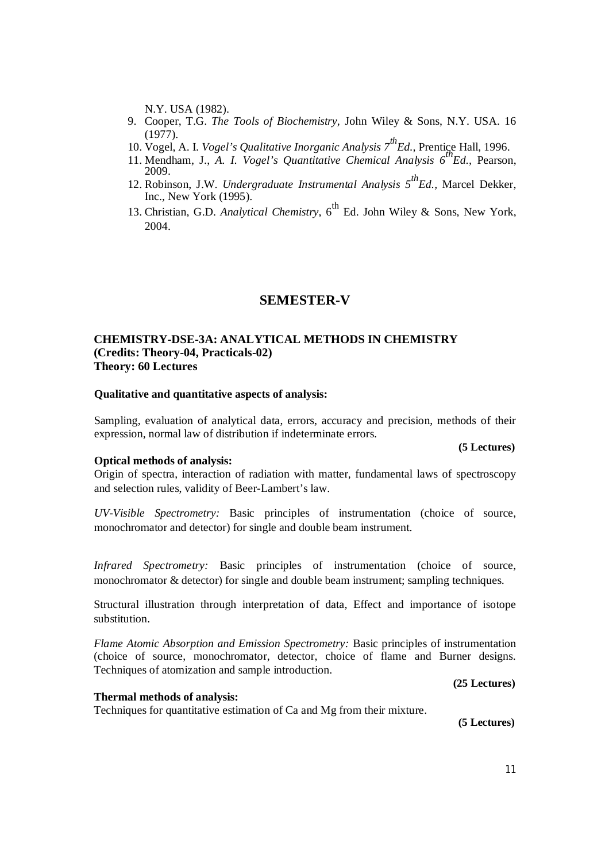N.Y. USA (1982).

- 9. Cooper, T.G. *The Tools of Biochemistry,* John Wiley & Sons, N.Y. USA. 16 (1977).
- 10. Vogel, A. I. *Vogel's Qualitative Inorganic Analysis 7thEd.,* Prentice Hall, 1996.
- 11. Mendham, J., *A. I. Vogel's Quantitative Chemical Analysis 6thEd.,* Pearson, 2009.
- 12. Robinson, J.W. *Undergraduate Instrumental Analysis 5thEd.,* Marcel Dekker, Inc., New York (1995).
- 13. Christian, G.D. *Analytical Chemistry*, 6<sup>th</sup> Ed. John Wiley & Sons, New York, 2004.

# **SEMESTER-V**

# **CHEMISTRY-DSE-3A: ANALYTICAL METHODS IN CHEMISTRY (Credits: Theory-04, Practicals-02) Theory: 60 Lectures**

# **Qualitative and quantitative aspects of analysis:**

Sampling, evaluation of analytical data, errors, accuracy and precision, methods of their expression, normal law of distribution if indeterminate errors.

#### **Optical methods of analysis:**

Origin of spectra, interaction of radiation with matter, fundamental laws of spectroscopy and selection rules, validity of Beer-Lambert's law.

*UV-Visible Spectrometry:* Basic principles of instrumentation (choice of source, monochromator and detector) for single and double beam instrument.

*Infrared Spectrometry:* Basic principles of instrumentation (choice of source, monochromator & detector) for single and double beam instrument; sampling techniques.

Structural illustration through interpretation of data, Effect and importance of isotope substitution.

*Flame Atomic Absorption and Emission Spectrometry: Basic principles of instrumentation* (choice of source, monochromator, detector, choice of flame and Burner designs. Techniques of atomization and sample introduction.

#### **Thermal methods of analysis:**

Techniques for quantitative estimation of Ca and Mg from their mixture.

**(5 Lectures)**

**(25 Lectures)**

# **(5 Lectures)**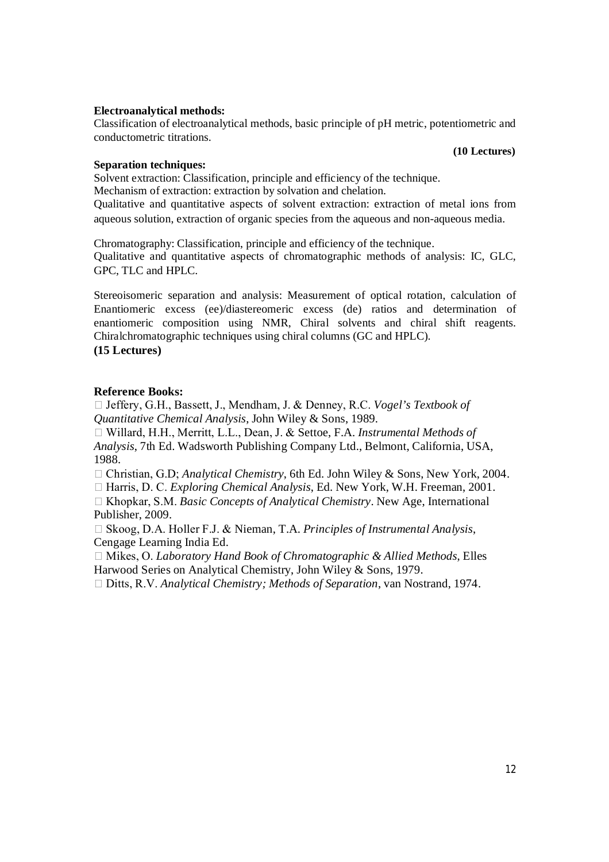### **Electroanalytical methods:**

Classification of electroanalytical methods, basic principle of pH metric, potentiometric and conductometric titrations.

**(10 Lectures)**

# **Separation techniques:**

Solvent extraction: Classification, principle and efficiency of the technique. Mechanism of extraction: extraction by solvation and chelation.

Qualitative and quantitative aspects of solvent extraction: extraction of metal ions from aqueous solution, extraction of organic species from the aqueous and non-aqueous media.

Chromatography: Classification, principle and efficiency of the technique. Qualitative and quantitative aspects of chromatographic methods of analysis: IC, GLC, GPC, TLC and HPLC.

Stereoisomeric separation and analysis: Measurement of optical rotation, calculation of Enantiomeric excess (ee)/diastereomeric excess (de) ratios and determination of enantiomeric composition using NMR, Chiral solvents and chiral shift reagents. Chiralchromatographic techniques using chiral columns (GC and HPLC). **(15 Lectures)**

# **Reference Books:**

 Jeffery, G.H., Bassett, J., Mendham, J. & Denney, R.C. *Vogel's Textbook of Quantitative Chemical Analysis*, John Wiley & Sons, 1989.

 Willard, H.H., Merritt, L.L., Dean, J. & Settoe, F.A. *Instrumental Methods of Analysis*, 7th Ed. Wadsworth Publishing Company Ltd., Belmont, California, USA, 1988.

Christian, G.D; *Analytical Chemistry*, 6th Ed. John Wiley & Sons, New York, 2004.

Harris, D. C. *Exploring Chemical Analysis*, Ed. New York, W.H. Freeman, 2001.

 Khopkar, S.M. *Basic Concepts of Analytical Chemistry*. New Age, International Publisher, 2009.

□ Skoog, D.A. Holler F.J. & Nieman, T.A. *Principles of Instrumental Analysis*, Cengage Learning India Ed.

 Mikes, O. *Laboratory Hand Book of Chromatographic & Allied Methods*, Elles Harwood Series on Analytical Chemistry, John Wiley & Sons, 1979.

Ditts, R.V. *Analytical Chemistry; Methods of Separation*, van Nostrand, 1974.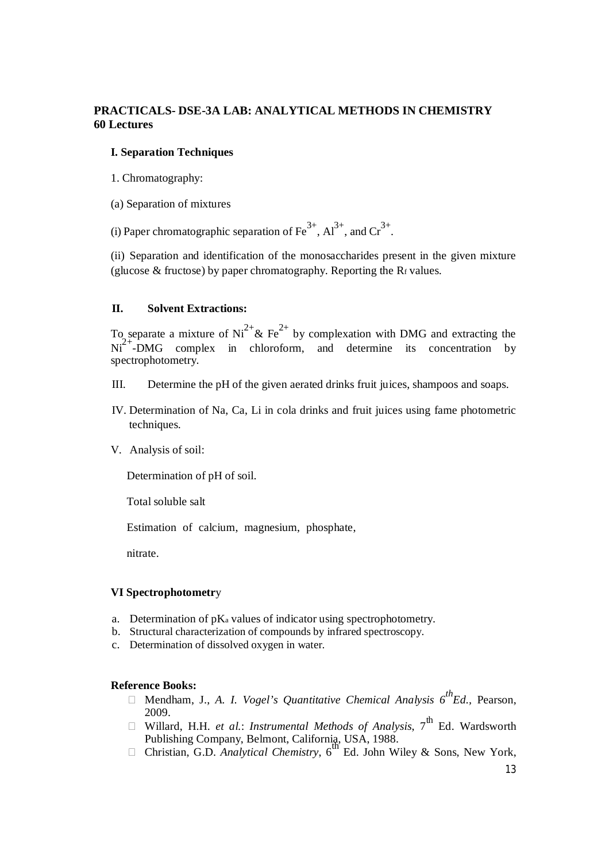# **PRACTICALS- DSE-3A LAB: ANALYTICAL METHODS IN CHEMISTRY 60 Lectures**

# **I. Separation Techniques**

- 1. Chromatography:
- (a) Separation of mixtures
- (i) Paper chromatographic separation of  $\text{Fe}^{3+}$ ,  $\text{Al}^{3+}$ , and  $\text{Cr}^{3+}$ .

(ii) Separation and identification of the monosaccharides present in the given mixture (glucose  $\&$  fructose) by paper chromatography. Reporting the R $f$  values.

# **II. Solvent Extractions:**

To separate a mixture of  $Ni^{2+}$ & Fe<sup>2+</sup> by complexation with DMG and extracting the  $Ni<sup>2+</sup>-DMG$  complex in chloroform, and determine its concentration by spectrophotometry.

- III. Determine the pH of the given aerated drinks fruit juices, shampoos and soaps.
- IV. Determination of Na, Ca, Li in cola drinks and fruit juices using fame photometric techniques.
- V. Analysis of soil:

Determination of pH of soil.

Total soluble salt

Estimation of calcium, magnesium, phosphate,

nitrate.

# **VI Spectrophotometr**y

- a. Determination of pK<sup>a</sup> values of indicator using spectrophotometry.
- b. Structural characterization of compounds by infrared spectroscopy.
- c. Determination of dissolved oxygen in water.

# **Reference Books:**

- Mendham, J., *A. I. Vogel's Quantitative Chemical Analysis 6thEd.,* Pearson, 2009.
- □ Willard, H.H. *et al.: Instrumental Methods of Analysis*, 7<sup>th</sup> Ed. Wardsworth
- Publishing Company, Belmont, California, USA, 1988.<br>□ Christian, G.D. *Analytical Chemistry*, 6<sup>th</sup> Ed. John Wiley & Sons, New York,